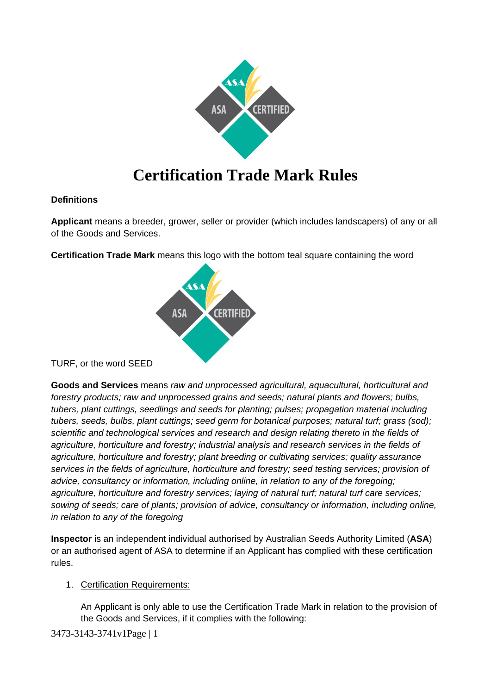

# **Certification Trade Mark Rules**

## **Definitions**

**Applicant** means a breeder, grower, seller or provider (which includes landscapers) of any or all of the Goods and Services.

**Certification Trade Mark** means this logo with the bottom teal square containing the word



TURF, or the word SEED

**Goods and Services** means *raw and unprocessed agricultural, aquacultural, horticultural and forestry products; raw and unprocessed grains and seeds; natural plants and flowers; bulbs, tubers, plant cuttings, seedlings and seeds for planting; pulses; propagation material including tubers, seeds, bulbs, plant cuttings; seed germ for botanical purposes; natural turf; grass (sod); scientific and technological services and research and design relating thereto in the fields of agriculture, horticulture and forestry; industrial analysis and research services in the fields of agriculture, horticulture and forestry; plant breeding or cultivating services; quality assurance services in the fields of agriculture, horticulture and forestry; seed testing services; provision of advice, consultancy or information, including online, in relation to any of the foregoing; agriculture, horticulture and forestry services; laying of natural turf; natural turf care services; sowing of seeds; care of plants; provision of advice, consultancy or information, including online, in relation to any of the foregoing*

**Inspector** is an independent individual authorised by Australian Seeds Authority Limited (**ASA**) or an authorised agent of ASA to determine if an Applicant has complied with these certification rules.

# <span id="page-0-0"></span>1. Certification Requirements:

An Applicant is only able to use the Certification Trade Mark in relation to the provision of the Goods and Services, if it complies with the following: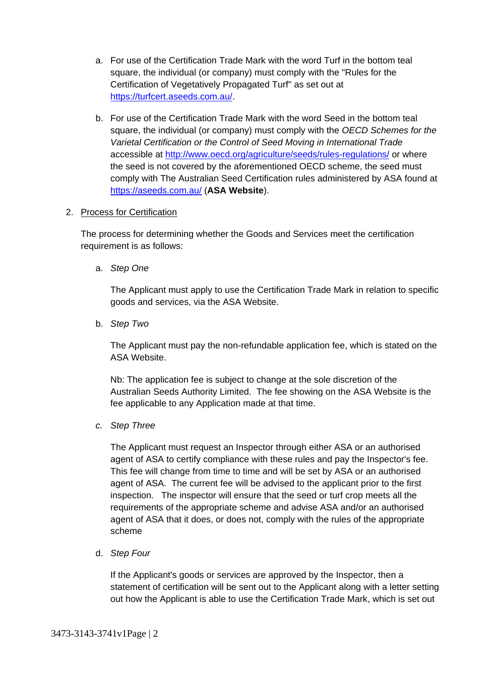- a. For use of the Certification Trade Mark with the word Turf in the bottom teal square, the individual (or company) must comply with the "Rules for the Certification of Vegetatively Propagated Turf" as set out at [https://turfcert.aseeds.com.au/.](https://turfcert.aseeds.com.au/)
- b. For use of the Certification Trade Mark with the word Seed in the bottom teal square, the individual (or company) must comply with the *OECD Schemes for the Varietal Certification or the Control of Seed Moving in International Trade* accessible at<http://www.oecd.org/agriculture/seeds/rules-regulations/> or where the seed is not covered by the aforementioned OECD scheme, the seed must comply with The Australian Seed Certification rules administered by ASA found at <https://aseeds.com.au/> (**ASA Website**).

#### 2. Process for Certification

The process for determining whether the Goods and Services meet the certification requirement is as follows:

a. *Step One*

The Applicant must apply to use the Certification Trade Mark in relation to specific goods and services, via the ASA Website.

b. *Step Two*

The Applicant must pay the non-refundable application fee, which is stated on the ASA Website.

Nb: The application fee is subject to change at the sole discretion of the Australian Seeds Authority Limited. The fee showing on the ASA Website is the fee applicable to any Application made at that time.

*c. Step Three*

The Applicant must request an Inspector through either ASA or an authorised agent of ASA to certify compliance with these rules and pay the Inspector's fee. This fee will change from time to time and will be set by ASA or an authorised agent of ASA. The current fee will be advised to the applicant prior to the first inspection. The inspector will ensure that the seed or turf crop meets all the requirements of the appropriate scheme and advise ASA and/or an authorised agent of ASA that it does, or does not, comply with the rules of the appropriate scheme

<span id="page-1-0"></span>d. *Step Four*

If the Applicant's goods or services are approved by the Inspector, then a statement of certification will be sent out to the Applicant along with a letter setting out how the Applicant is able to use the Certification Trade Mark, which is set out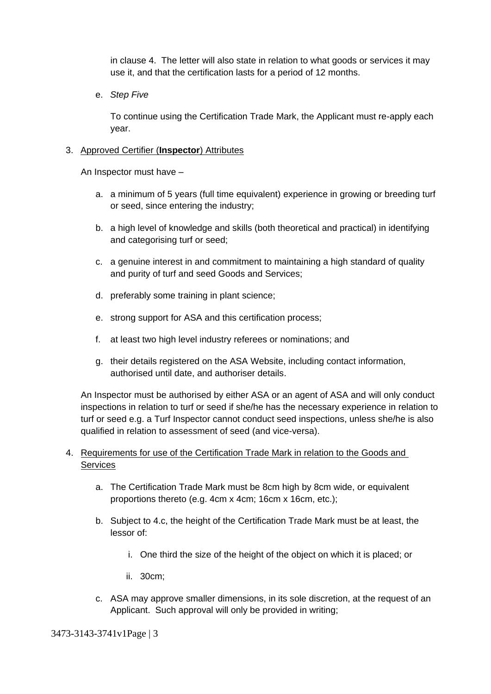in clause [4.](#page-2-0) The letter will also state in relation to what goods or services it may use it, and that the certification lasts for a period of 12 months.

e. *Step Five*

To continue using the Certification Trade Mark, the Applicant must re-apply each year.

#### 3. Approved Certifier (**Inspector**) Attributes

An Inspector must have –

- a. a minimum of 5 years (full time equivalent) experience in growing or breeding turf or seed, since entering the industry;
- b. a high level of knowledge and skills (both theoretical and practical) in identifying and categorising turf or seed;
- c. a genuine interest in and commitment to maintaining a high standard of quality and purity of turf and seed Goods and Services;
- d. preferably some training in plant science;
- e. strong support for ASA and this certification process;
- f. at least two high level industry referees or nominations; and
- g. their details registered on the ASA Website, including contact information, authorised until date, and authoriser details.

An Inspector must be authorised by either ASA or an agent of ASA and will only conduct inspections in relation to turf or seed if she/he has the necessary experience in relation to turf or seed e.g. a Turf Inspector cannot conduct seed inspections, unless she/he is also qualified in relation to assessment of seed (and vice-versa).

## <span id="page-2-0"></span>4. Requirements for use of the Certification Trade Mark in relation to the Goods and **Services**

- a. The Certification Trade Mark must be 8cm high by 8cm wide, or equivalent proportions thereto (e.g. 4cm x 4cm; 16cm x 16cm, etc.);
- b. Subject to [4.c,](#page-2-1) the height of the Certification Trade Mark must be at least, the lessor of:
	- i. One third the size of the height of the object on which it is placed; or
	- ii. 30cm;
- c. ASA may approve smaller dimensions, in its sole discretion, at the request of an Applicant. Such approval will only be provided in writing;

<span id="page-2-1"></span>3473-3143-3741v1Page | 3